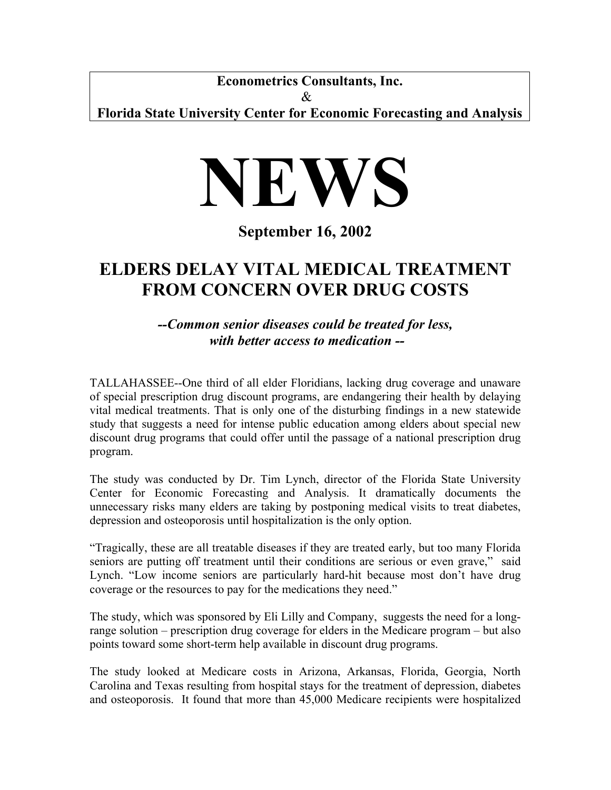**Econometrics Consultants, Inc.**  &

**Florida State University Center for Economic Forecasting and Analysis**



**September 16, 2002** 

## **ELDERS DELAY VITAL MEDICAL TREATMENT FROM CONCERN OVER DRUG COSTS**

*--Common senior diseases could be treated for less, with better access to medication --* 

TALLAHASSEE--One third of all elder Floridians, lacking drug coverage and unaware of special prescription drug discount programs, are endangering their health by delaying vital medical treatments. That is only one of the disturbing findings in a new statewide study that suggests a need for intense public education among elders about special new discount drug programs that could offer until the passage of a national prescription drug program.

The study was conducted by Dr. Tim Lynch, director of the Florida State University Center for Economic Forecasting and Analysis. It dramatically documents the unnecessary risks many elders are taking by postponing medical visits to treat diabetes, depression and osteoporosis until hospitalization is the only option.

"Tragically, these are all treatable diseases if they are treated early, but too many Florida seniors are putting off treatment until their conditions are serious or even grave," said Lynch. "Low income seniors are particularly hard-hit because most don't have drug coverage or the resources to pay for the medications they need."

The study, which was sponsored by Eli Lilly and Company, suggests the need for a longrange solution – prescription drug coverage for elders in the Medicare program – but also points toward some short-term help available in discount drug programs.

The study looked at Medicare costs in Arizona, Arkansas, Florida, Georgia, North Carolina and Texas resulting from hospital stays for the treatment of depression, diabetes and osteoporosis. It found that more than 45,000 Medicare recipients were hospitalized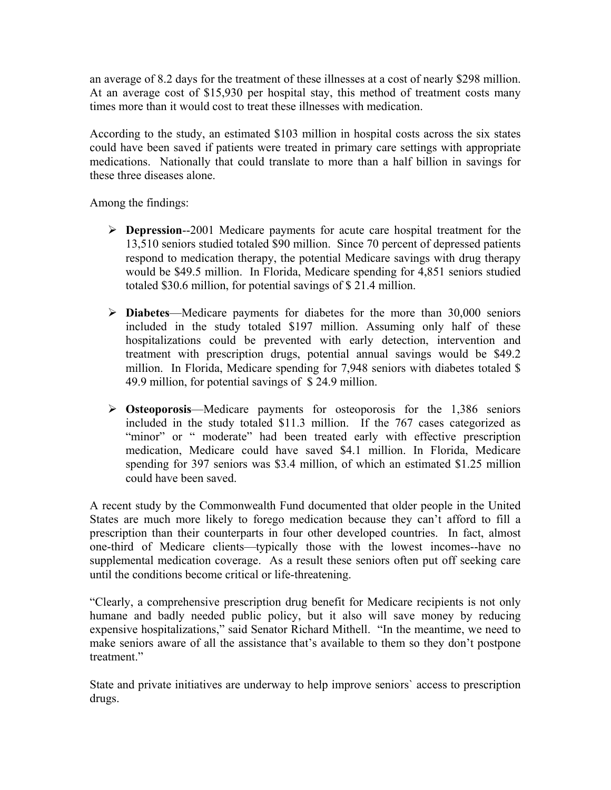an average of 8.2 days for the treatment of these illnesses at a cost of nearly \$298 million. At an average cost of \$15,930 per hospital stay, this method of treatment costs many times more than it would cost to treat these illnesses with medication.

According to the study, an estimated \$103 million in hospital costs across the six states could have been saved if patients were treated in primary care settings with appropriate medications. Nationally that could translate to more than a half billion in savings for these three diseases alone.

Among the findings:

- ¾ **Depression**--2001 Medicare payments for acute care hospital treatment for the 13,510 seniors studied totaled \$90 million. Since 70 percent of depressed patients respond to medication therapy, the potential Medicare savings with drug therapy would be \$49.5 million. In Florida, Medicare spending for 4,851 seniors studied totaled \$30.6 million, for potential savings of \$ 21.4 million.
- ¾ **Diabetes**—Medicare payments for diabetes for the more than 30,000 seniors included in the study totaled \$197 million. Assuming only half of these hospitalizations could be prevented with early detection, intervention and treatment with prescription drugs, potential annual savings would be \$49.2 million. In Florida, Medicare spending for 7,948 seniors with diabetes totaled \$ 49.9 million, for potential savings of \$ 24.9 million.
- ¾ **Osteoporosis**—Medicare payments for osteoporosis for the 1,386 seniors included in the study totaled \$11.3 million. If the 767 cases categorized as "minor" or " moderate" had been treated early with effective prescription medication, Medicare could have saved \$4.1 million. In Florida, Medicare spending for 397 seniors was \$3.4 million, of which an estimated \$1.25 million could have been saved.

A recent study by the Commonwealth Fund documented that older people in the United States are much more likely to forego medication because they can't afford to fill a prescription than their counterparts in four other developed countries. In fact, almost one-third of Medicare clients—typically those with the lowest incomes--have no supplemental medication coverage. As a result these seniors often put off seeking care until the conditions become critical or life-threatening.

"Clearly, a comprehensive prescription drug benefit for Medicare recipients is not only humane and badly needed public policy, but it also will save money by reducing expensive hospitalizations," said Senator Richard Mithell. "In the meantime, we need to make seniors aware of all the assistance that's available to them so they don't postpone treatment<sup>"</sup>

State and private initiatives are underway to help improve seniors` access to prescription drugs.